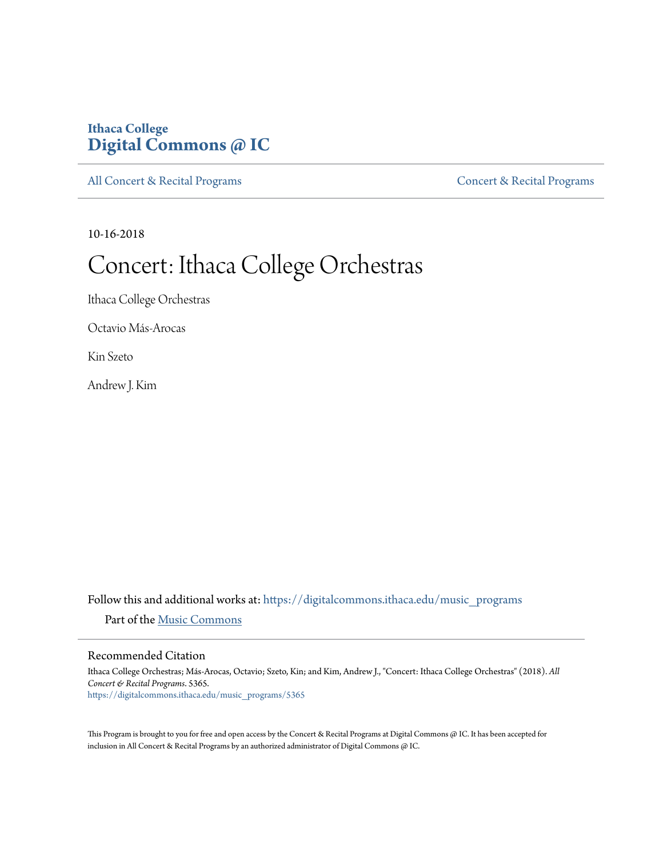# **Ithaca College [Digital Commons @ IC](https://digitalcommons.ithaca.edu?utm_source=digitalcommons.ithaca.edu%2Fmusic_programs%2F5365&utm_medium=PDF&utm_campaign=PDFCoverPages)**

[All Concert & Recital Programs](https://digitalcommons.ithaca.edu/music_programs?utm_source=digitalcommons.ithaca.edu%2Fmusic_programs%2F5365&utm_medium=PDF&utm_campaign=PDFCoverPages) **[Concert & Recital Programs](https://digitalcommons.ithaca.edu/som_programs?utm_source=digitalcommons.ithaca.edu%2Fmusic_programs%2F5365&utm_medium=PDF&utm_campaign=PDFCoverPages)** 

10-16-2018

# Concert: Ithaca College Orchestras

Ithaca College Orchestras

Octavio Más-Arocas

Kin Szeto

Andrew J. Kim

Follow this and additional works at: [https://digitalcommons.ithaca.edu/music\\_programs](https://digitalcommons.ithaca.edu/music_programs?utm_source=digitalcommons.ithaca.edu%2Fmusic_programs%2F5365&utm_medium=PDF&utm_campaign=PDFCoverPages) Part of the [Music Commons](http://network.bepress.com/hgg/discipline/518?utm_source=digitalcommons.ithaca.edu%2Fmusic_programs%2F5365&utm_medium=PDF&utm_campaign=PDFCoverPages)

### Recommended Citation

Ithaca College Orchestras; Más-Arocas, Octavio; Szeto, Kin; and Kim, Andrew J., "Concert: Ithaca College Orchestras" (2018). *All Concert & Recital Programs*. 5365. [https://digitalcommons.ithaca.edu/music\\_programs/5365](https://digitalcommons.ithaca.edu/music_programs/5365?utm_source=digitalcommons.ithaca.edu%2Fmusic_programs%2F5365&utm_medium=PDF&utm_campaign=PDFCoverPages)

This Program is brought to you for free and open access by the Concert & Recital Programs at Digital Commons @ IC. It has been accepted for inclusion in All Concert & Recital Programs by an authorized administrator of Digital Commons @ IC.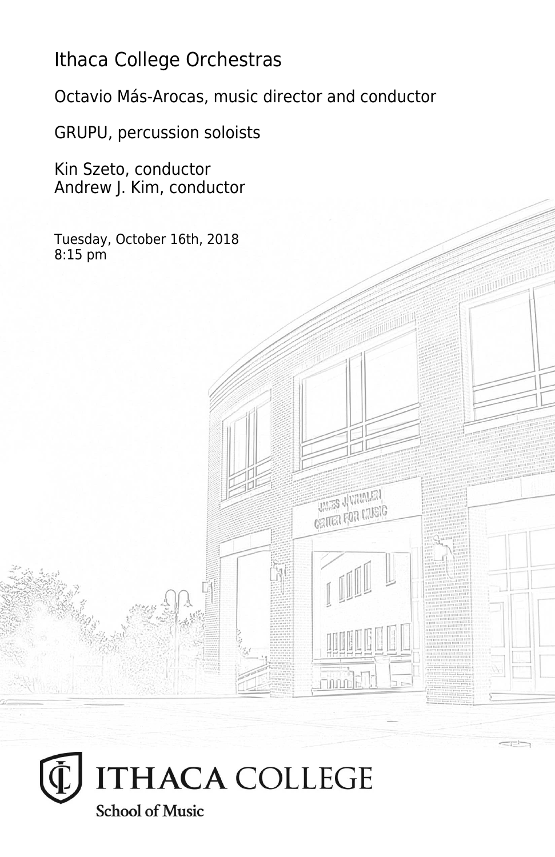# Ithaca College Orchestras

Octavio Más-Arocas, music director and conductor

**THES JUMPLEY CRITER FOR LIVEIG** 

**Finning** 

GRUPU, percussion soloists

Kin Szeto, conductor Andrew J. Kim, conductor

Tuesday, October 16th, 2018 8:15 pm

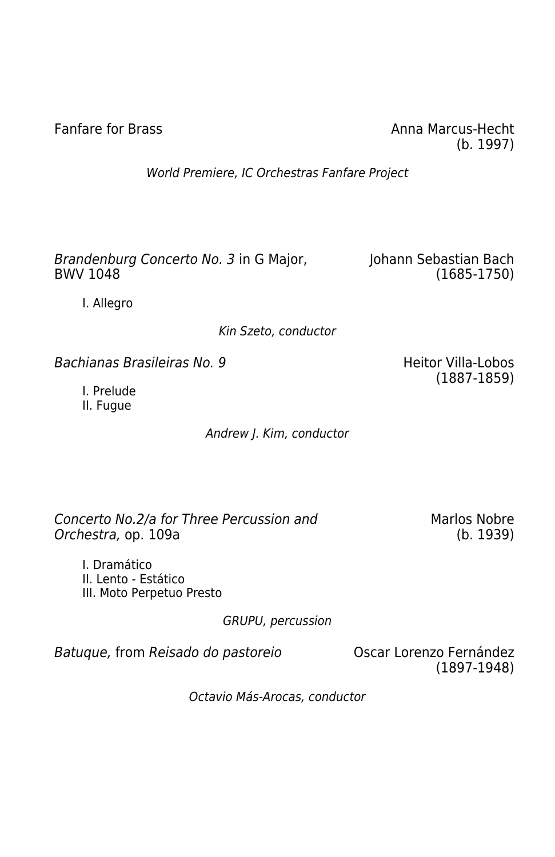Fanfare for Brass **Anna Marcus-Hecht** Anna Marcus-Hecht (b. 1997)

World Premiere, IC Orchestras Fanfare Project

Brandenburg Concerto No. 3 in G Major, Johann Sebastian Bach BWV 1048

(1685-1750)

I. Allegro

Kin Szeto, conductor

Bachianas Brasileiras No. 9 ann - No ann - Heitor Villa-Lobos

I. Prelude II. Fugue

Andrew J. Kim, conductor

Concerto No.2/a for Three Percussion and Orchestra, op. 109a

Marlos Nobre (b. 1939)

(1887-1859)

I. Dramático II. Lento - Estático III. Moto Perpetuo Presto

GRUPU, percussion

Batuque, from Reisado do pastoreio **Casa Contra Contra Contra Fernández** 

(1897-1948)

Octavio Más-Arocas, conductor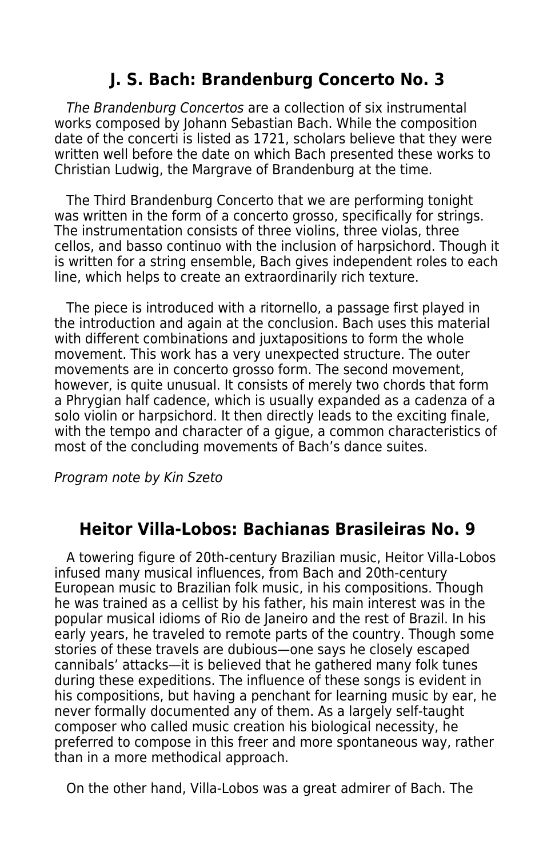# **J. S. Bach: Brandenburg Concerto No. 3**

 The Brandenburg Concertos are a collection of six instrumental works composed by Johann Sebastian Bach. While the composition date of the concerti is listed as 1721, scholars believe that they were written well before the date on which Bach presented these works to Christian Ludwig, the Margrave of Brandenburg at the time.

 The Third Brandenburg Concerto that we are performing tonight was written in the form of a concerto grosso, specifically for strings. The instrumentation consists of three violins, three violas, three cellos, and basso continuo with the inclusion of harpsichord. Though it is written for a string ensemble, Bach gives independent roles to each line, which helps to create an extraordinarily rich texture.

 The piece is introduced with a ritornello, a passage first played in the introduction and again at the conclusion. Bach uses this material with different combinations and juxtapositions to form the whole movement. This work has a very unexpected structure. The outer movements are in concerto grosso form. The second movement, however, is quite unusual. It consists of merely two chords that form a Phrygian half cadence, which is usually expanded as a cadenza of a solo violin or harpsichord. It then directly leads to the exciting finale, with the tempo and character of a gigue, a common characteristics of most of the concluding movements of Bach's dance suites.

Program note by Kin Szeto

# **Heitor Villa-Lobos: Bachianas Brasileiras No. 9**

 A towering figure of 20th-century Brazilian music, Heitor Villa-Lobos infused many musical influences, from Bach and 20th-century European music to Brazilian folk music, in his compositions. Though he was trained as a cellist by his father, his main interest was in the popular musical idioms of Rio de Janeiro and the rest of Brazil. In his early years, he traveled to remote parts of the country. Though some stories of these travels are dubious—one says he closely escaped cannibals' attacks—it is believed that he gathered many folk tunes during these expeditions. The influence of these songs is evident in his compositions, but having a penchant for learning music by ear, he never formally documented any of them. As a largely self-taught composer who called music creation his biological necessity, he preferred to compose in this freer and more spontaneous way, rather than in a more methodical approach.

On the other hand, Villa-Lobos was a great admirer of Bach. The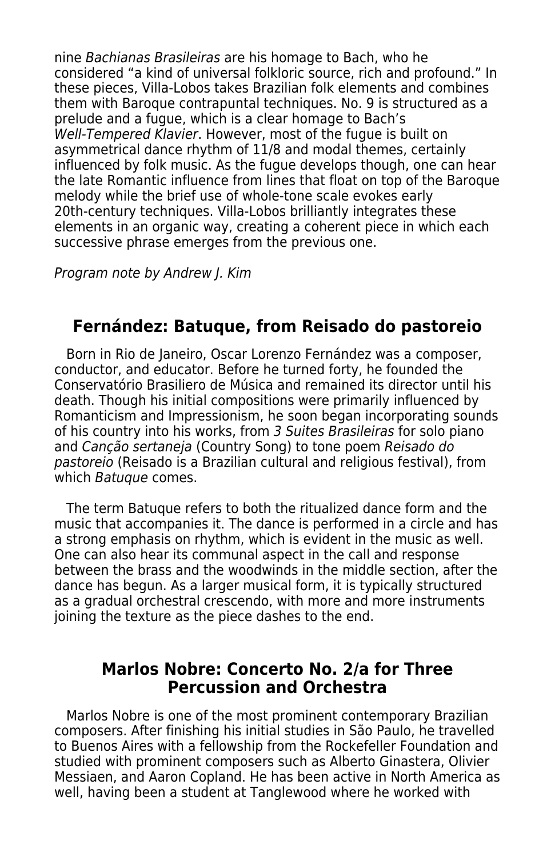nine Bachianas Brasileiras are his homage to Bach, who he considered "a kind of universal folkloric source, rich and profound." In these pieces, Villa-Lobos takes Brazilian folk elements and combines them with Baroque contrapuntal techniques. No. 9 is structured as a prelude and a fugue, which is a clear homage to Bach's Well-Tempered Klavier. However, most of the fugue is built on asymmetrical dance rhythm of 11/8 and modal themes, certainly influenced by folk music. As the fugue develops though, one can hear the late Romantic influence from lines that float on top of the Baroque melody while the brief use of whole-tone scale evokes early 20th-century techniques. Villa-Lobos brilliantly integrates these elements in an organic way, creating a coherent piece in which each successive phrase emerges from the previous one.

Program note by Andrew J. Kim

# **Fernández: Batuque, from Reisado do pastoreio**

 Born in Rio de Janeiro, Oscar Lorenzo Fernández was a composer, conductor, and educator. Before he turned forty, he founded the Conservatório Brasiliero de Música and remained its director until his death. Though his initial compositions were primarily influenced by Romanticism and Impressionism, he soon began incorporating sounds of his country into his works, from 3 Suites Brasileiras for solo piano and Canção sertaneja (Country Song) to tone poem Reisado do pastoreio (Reisado is a Brazilian cultural and religious festival), from which *Batuque* comes.

 The term Batuque refers to both the ritualized dance form and the music that accompanies it. The dance is performed in a circle and has a strong emphasis on rhythm, which is evident in the music as well. One can also hear its communal aspect in the call and response between the brass and the woodwinds in the middle section, after the dance has begun. As a larger musical form, it is typically structured as a gradual orchestral crescendo, with more and more instruments joining the texture as the piece dashes to the end.

# **Marlos Nobre: Concerto No. 2/a for Three Percussion and Orchestra**

 Marlos Nobre is one of the most prominent contemporary Brazilian composers. After finishing his initial studies in São Paulo, he travelled to Buenos Aires with a fellowship from the Rockefeller Foundation and studied with prominent composers such as Alberto Ginastera, Olivier Messiaen, and Aaron Copland. He has been active in North America as well, having been a student at Tanglewood where he worked with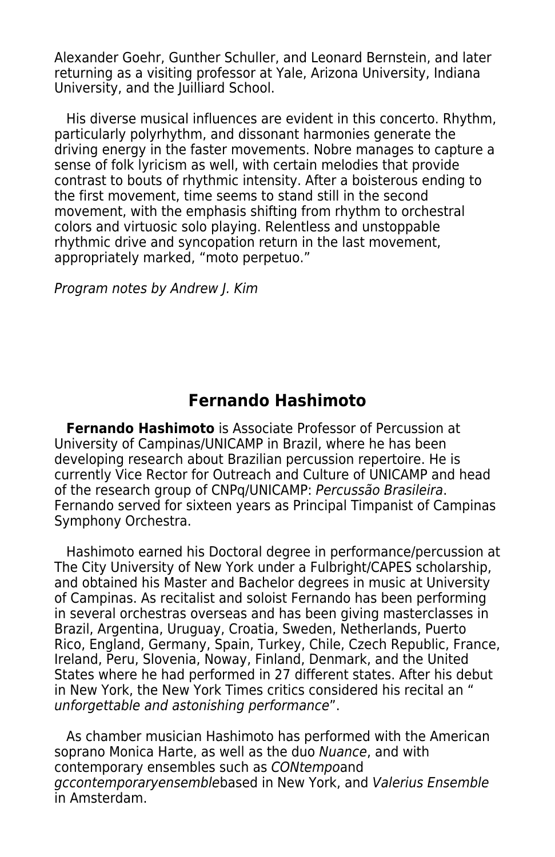Alexander Goehr, Gunther Schuller, and Leonard Bernstein, and later returning as a visiting professor at Yale, Arizona University, Indiana University, and the Juilliard School.

 His diverse musical influences are evident in this concerto. Rhythm, particularly polyrhythm, and dissonant harmonies generate the driving energy in the faster movements. Nobre manages to capture a sense of folk lyricism as well, with certain melodies that provide contrast to bouts of rhythmic intensity. After a boisterous ending to the first movement, time seems to stand still in the second movement, with the emphasis shifting from rhythm to orchestral colors and virtuosic solo playing. Relentless and unstoppable rhythmic drive and syncopation return in the last movement, appropriately marked, "moto perpetuo."

Program notes by Andrew J. Kim

# **Fernando Hashimoto**

 **Fernando Hashimoto** is Associate Professor of Percussion at University of Campinas/UNICAMP in Brazil, where he has been developing research about Brazilian percussion repertoire. He is currently Vice Rector for Outreach and Culture of UNICAMP and head of the research group of CNPq/UNICAMP: Percussão Brasileira. Fernando served for sixteen years as Principal Timpanist of Campinas Symphony Orchestra.

 Hashimoto earned his Doctoral degree in performance/percussion at The City University of New York under a Fulbright/CAPES scholarship, and obtained his Master and Bachelor degrees in music at University of Campinas. As recitalist and soloist Fernando has been performing in several orchestras overseas and has been giving masterclasses in Brazil, Argentina, Uruguay, Croatia, Sweden, Netherlands, Puerto Rico, England, Germany, Spain, Turkey, Chile, Czech Republic, France, Ireland, Peru, Slovenia, Noway, Finland, Denmark, and the United States where he had performed in 27 different states. After his debut in New York, the New York Times critics considered his recital an " unforgettable and astonishing performance".

 As chamber musician Hashimoto has performed with the American soprano Monica Harte, as well as the duo Nuance, and with contemporary ensembles such as CONtempoand gccontemporaryensemblebased in New York, and Valerius Ensemble in Amsterdam.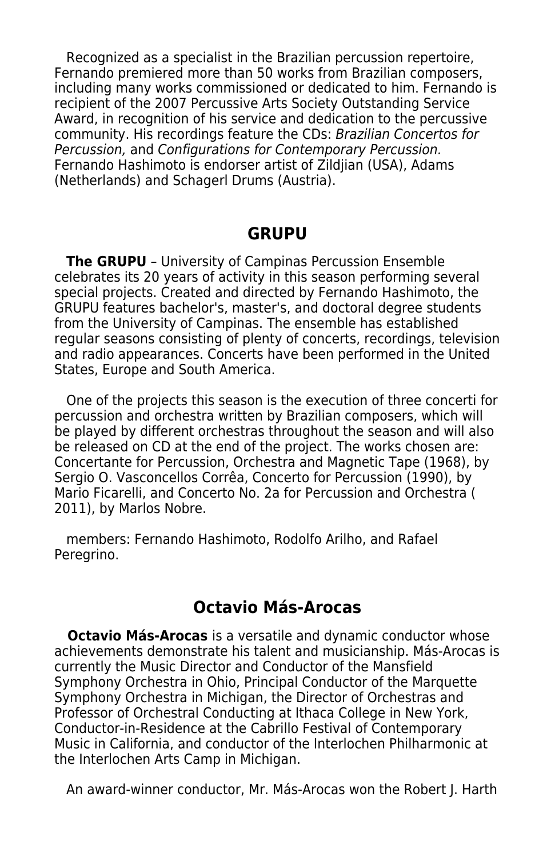Recognized as a specialist in the Brazilian percussion repertoire, Fernando premiered more than 50 works from Brazilian composers, including many works commissioned or dedicated to him. Fernando is recipient of the 2007 Percussive Arts Society Outstanding Service Award, in recognition of his service and dedication to the percussive community. His recordings feature the CDs: Brazilian Concertos for Percussion, and Configurations for Contemporary Percussion. Fernando Hashimoto is endorser artist of Zildjian (USA), Adams (Netherlands) and Schagerl Drums (Austria).

## **GRUPU**

 **The GRUPU** – University of Campinas Percussion Ensemble celebrates its 20 years of activity in this season performing several special projects. Created and directed by Fernando Hashimoto, the GRUPU features bachelor's, master's, and doctoral degree students from the University of Campinas. The ensemble has established regular seasons consisting of plenty of concerts, recordings, television and radio appearances. Concerts have been performed in the United States, Europe and South America.

 One of the projects this season is the execution of three concerti for percussion and orchestra written by Brazilian composers, which will be played by different orchestras throughout the season and will also be released on CD at the end of the project. The works chosen are: Concertante for Percussion, Orchestra and Magnetic Tape (1968), by Sergio O. Vasconcellos Corrêa, Concerto for Percussion (1990), by Mario Ficarelli, and Concerto No. 2a for Percussion and Orchestra ( 2011), by Marlos Nobre.

 members: Fernando Hashimoto, Rodolfo Arilho, and Rafael Peregrino.

# **Octavio Más-Arocas**

 **Octavio Más-Arocas** is a versatile and dynamic conductor whose achievements demonstrate his talent and musicianship. Más-Arocas is currently the Music Director and Conductor of the Mansfield Symphony Orchestra in Ohio, Principal Conductor of the Marquette Symphony Orchestra in Michigan, the Director of Orchestras and Professor of Orchestral Conducting at Ithaca College in New York, Conductor-in-Residence at the Cabrillo Festival of Contemporary Music in California, and conductor of the Interlochen Philharmonic at the Interlochen Arts Camp in Michigan.

An award-winner conductor, Mr. Más-Arocas won the Robert J. Harth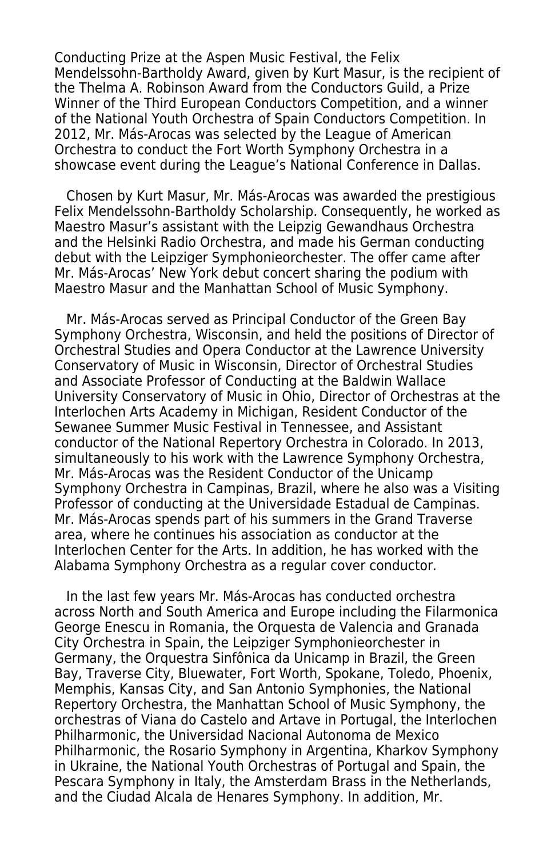Conducting Prize at the Aspen Music Festival, the Felix Mendelssohn-Bartholdy Award, given by Kurt Masur, is the recipient of the Thelma A. Robinson Award from the Conductors Guild, a Prize Winner of the Third European Conductors Competition, and a winner of the National Youth Orchestra of Spain Conductors Competition. In 2012, Mr. Más-Arocas was selected by the League of American Orchestra to conduct the Fort Worth Symphony Orchestra in a showcase event during the League's National Conference in Dallas.

 Chosen by Kurt Masur, Mr. Más-Arocas was awarded the prestigious Felix Mendelssohn-Bartholdy Scholarship. Consequently, he worked as Maestro Masur's assistant with the Leipzig Gewandhaus Orchestra and the Helsinki Radio Orchestra, and made his German conducting debut with the Leipziger Symphonieorchester. The offer came after Mr. Más-Arocas' New York debut concert sharing the podium with Maestro Masur and the Manhattan School of Music Symphony.

 Mr. Más-Arocas served as Principal Conductor of the Green Bay Symphony Orchestra, Wisconsin, and held the positions of Director of Orchestral Studies and Opera Conductor at the Lawrence University Conservatory of Music in Wisconsin, Director of Orchestral Studies and Associate Professor of Conducting at the Baldwin Wallace University Conservatory of Music in Ohio, Director of Orchestras at the Interlochen Arts Academy in Michigan, Resident Conductor of the Sewanee Summer Music Festival in Tennessee, and Assistant conductor of the National Repertory Orchestra in Colorado. In 2013, simultaneously to his work with the Lawrence Symphony Orchestra, Mr. Más-Arocas was the Resident Conductor of the Unicamp Symphony Orchestra in Campinas, Brazil, where he also was a Visiting Professor of conducting at the Universidade Estadual de Campinas. Mr. Más-Arocas spends part of his summers in the Grand Traverse area, where he continues his association as conductor at the Interlochen Center for the Arts. In addition, he has worked with the Alabama Symphony Orchestra as a regular cover conductor.

 In the last few years Mr. Más-Arocas has conducted orchestra across North and South America and Europe including the Filarmonica George Enescu in Romania, the Orquesta de Valencia and Granada City Orchestra in Spain, the Leipziger Symphonieorchester in Germany, the Orquestra Sinfônica da Unicamp in Brazil, the Green Bay, Traverse City, Bluewater, Fort Worth, Spokane, Toledo, Phoenix, Memphis, Kansas City, and San Antonio Symphonies, the National Repertory Orchestra, the Manhattan School of Music Symphony, the orchestras of Viana do Castelo and Artave in Portugal, the Interlochen Philharmonic, the Universidad Nacional Autonoma de Mexico Philharmonic, the Rosario Symphony in Argentina, Kharkov Symphony in Ukraine, the National Youth Orchestras of Portugal and Spain, the Pescara Symphony in Italy, the Amsterdam Brass in the Netherlands, and the Ciudad Alcala de Henares Symphony. In addition, Mr.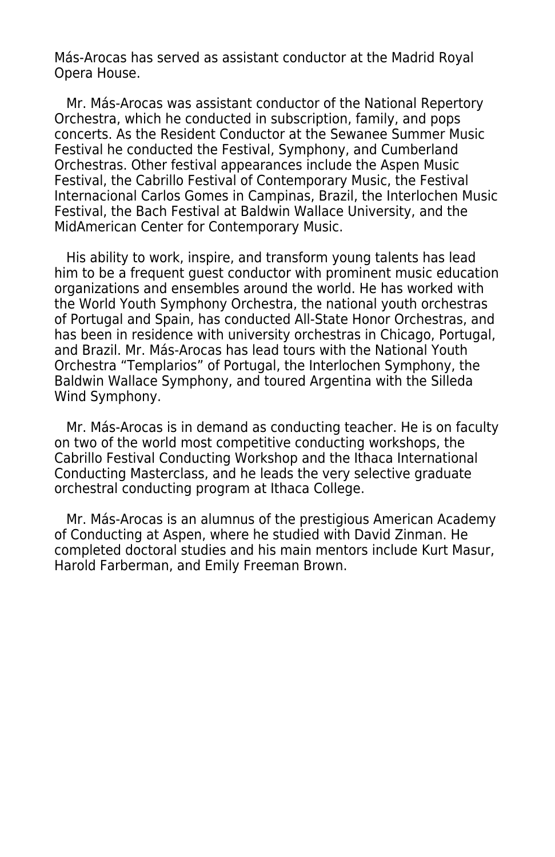Más-Arocas has served as assistant conductor at the Madrid Royal Opera House.

 Mr. Más-Arocas was assistant conductor of the National Repertory Orchestra, which he conducted in subscription, family, and pops concerts. As the Resident Conductor at the Sewanee Summer Music Festival he conducted the Festival, Symphony, and Cumberland Orchestras. Other festival appearances include the Aspen Music Festival, the Cabrillo Festival of Contemporary Music, the Festival Internacional Carlos Gomes in Campinas, Brazil, the Interlochen Music Festival, the Bach Festival at Baldwin Wallace University, and the MidAmerican Center for Contemporary Music.

 His ability to work, inspire, and transform young talents has lead him to be a frequent guest conductor with prominent music education organizations and ensembles around the world. He has worked with the World Youth Symphony Orchestra, the national youth orchestras of Portugal and Spain, has conducted All-State Honor Orchestras, and has been in residence with university orchestras in Chicago, Portugal, and Brazil. Mr. Más-Arocas has lead tours with the National Youth Orchestra "Templarios" of Portugal, the Interlochen Symphony, the Baldwin Wallace Symphony, and toured Argentina with the Silleda Wind Symphony.

 Mr. Más-Arocas is in demand as conducting teacher. He is on faculty on two of the world most competitive conducting workshops, the Cabrillo Festival Conducting Workshop and the Ithaca International Conducting Masterclass, and he leads the very selective graduate orchestral conducting program at Ithaca College.

 Mr. Más-Arocas is an alumnus of the prestigious American Academy of Conducting at Aspen, where he studied with David Zinman. He completed doctoral studies and his main mentors include Kurt Masur, Harold Farberman, and Emily Freeman Brown.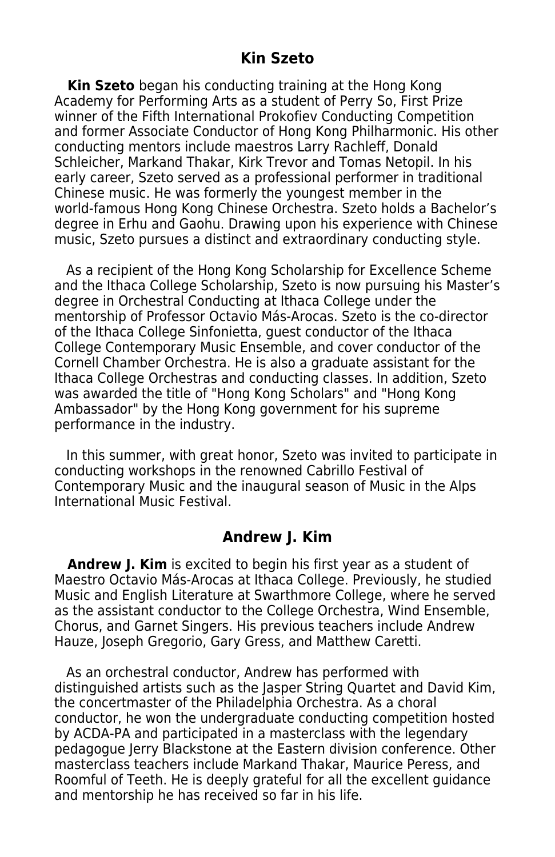**Kin Szeto** began his conducting training at the Hong Kong Academy for Performing Arts as a student of Perry So, First Prize winner of the Fifth International Prokofiev Conducting Competition and former Associate Conductor of Hong Kong Philharmonic. His other conducting mentors include maestros Larry Rachleff, Donald Schleicher, Markand Thakar, Kirk Trevor and Tomas Netopil. In his early career, Szeto served as a professional performer in traditional Chinese music. He was formerly the youngest member in the world-famous Hong Kong Chinese Orchestra. Szeto holds a Bachelor's degree in Erhu and Gaohu. Drawing upon his experience with Chinese music, Szeto pursues a distinct and extraordinary conducting style.

 As a recipient of the Hong Kong Scholarship for Excellence Scheme and the Ithaca College Scholarship, Szeto is now pursuing his Master's degree in Orchestral Conducting at Ithaca College under the mentorship of Professor Octavio Más-Arocas. Szeto is the co-director of the Ithaca College Sinfonietta, guest conductor of the Ithaca College Contemporary Music Ensemble, and cover conductor of the Cornell Chamber Orchestra. He is also a graduate assistant for the Ithaca College Orchestras and conducting classes. In addition, Szeto was awarded the title of "Hong Kong Scholars" and "Hong Kong Ambassador" by the Hong Kong government for his supreme performance in the industry.

 In this summer, with great honor, Szeto was invited to participate in conducting workshops in the renowned Cabrillo Festival of Contemporary Music and the inaugural season of Music in the Alps International Music Festival.

# **Andrew J. Kim**

**Andrew J. Kim** is excited to begin his first year as a student of Maestro Octavio Más-Arocas at Ithaca College. Previously, he studied Music and English Literature at Swarthmore College, where he served as the assistant conductor to the College Orchestra, Wind Ensemble, Chorus, and Garnet Singers. His previous teachers include Andrew Hauze, Joseph Gregorio, Gary Gress, and Matthew Caretti.

 As an orchestral conductor, Andrew has performed with distinguished artists such as the Jasper String Quartet and David Kim, the concertmaster of the Philadelphia Orchestra. As a choral conductor, he won the undergraduate conducting competition hosted by ACDA-PA and participated in a masterclass with the legendary pedagogue Jerry Blackstone at the Eastern division conference. Other masterclass teachers include Markand Thakar, Maurice Peress, and Roomful of Teeth. He is deeply grateful for all the excellent guidance and mentorship he has received so far in his life.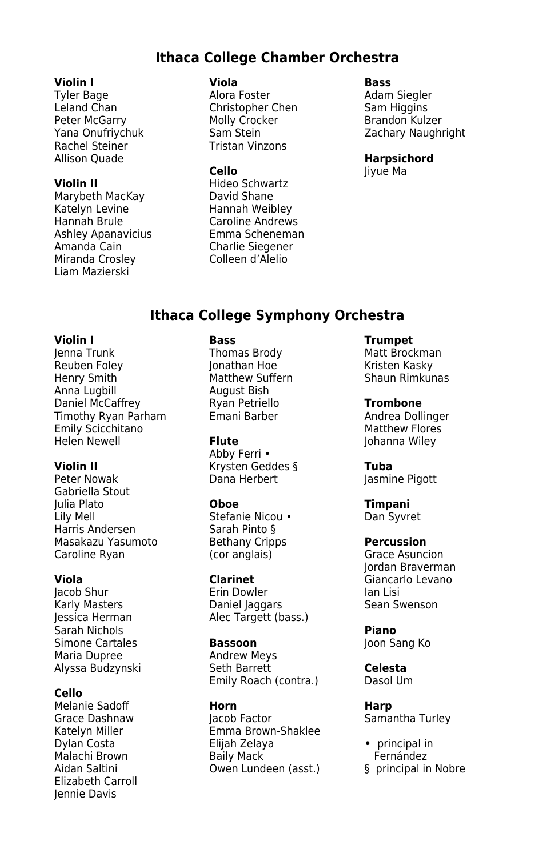### **Ithaca College Chamber Orchestra**

### **Violin I Viola Bass**

Leland Chan **Christopher Chen** Sam Higgins Peter McGarry **Molly Crocker** Brandon Kulzer Rachel Steiner Tristan Vinzons Allison Quade **Harpsichord** 

Marybeth MacKay **David Shane** Katelyn Levine **Hannah Weibley** Hannah Brule Caroline Andrews Ashley Apanavicius Emma Scheneman Amanda Cain Charlie Siegener Miranda Crosley Colleen d'Alelio Liam Mazierski

Tyler Bage **Alora Foster** Alora Foster Adam Siegler

**Violin II** Hideo Schwartz

Yana Onufriychuk Sam Stein Zachary Naughright

**Cello** Jiyue Ma

### **Ithaca College Symphony Orchestra**

**Violin I Bass Trumpet** Reuben Foley Jonathan Hoe Kristen Kasky Anna Lugbill August Bish **Daniel McCaffrey Manuel Ryan Petriello Frombone**<br>Timothy Ryan Parham Finani Barber **Trombone** Andrea Dollinger Timothy Ryan Parham Emani Barber **Andrea Dollinger Constructs**<br>Emily Scicchitano **Emani Barber Andrea Barber Andrea Plathew** Flores Emily Scicchitano<br>Helen Newell **Flute** 

Gabriella Stout Lily Mell Stefanie Nicou • Dan Syvret Harris Andersen Masakazu Yasumoto Bethany Cripps **Percussion**<br>Caroline Ryan (cor anglais) Grace Asunc

Karly Masters **Camillage Baniel Jaggars**<br>
Ressica Herman Salec Targett (b. Sarah Nichols **Piano** Simone Cartales **Bassoon**<br>Maria Dupree **Bassoon**<br>Andrew Meys Maria Dupree **Andrew Meys**<br>Alvssa Budzvnski kartes Seth Barrett

### **Cello**

Melanie Sadoff **Horn Harp** Elizabeth Carroll Jennie Davis

Matthew Suffern<br>August Bish

Abby Ferri • **Violin II Krysten Geddes § Tuba**<br>Peter Nowak **Band Herbert** Basmir

(cor anglais) Grace Asuncion

Jacob Shur Erin Dowler Ian Lisi Alec Targett (bass.)

Alyssa Budzynski Seth Barrett **Celesta** Emily Roach (contra.)

Katelyn Miller **Emma Brown-Shaklee**<br>
Dylan Costa **Eliah Zelava** Dylan Costa Elijah Zelaya **•** principal in Malachi Brown Baily Mack Fernández Owen Lundeen (asst.)

Matt Brockman<br>Kristen Kaskv

Johanna Wiley

Jasmine Pigott

**Oboe Timpani** 

Jordan Braverman **Viola Clarinet** Giancarlo Levano<br> **Claring Claring Claring Claring Claring Claring Claring Claring Claring Claring Claring Claring Claring Clari** 

Samantha Turley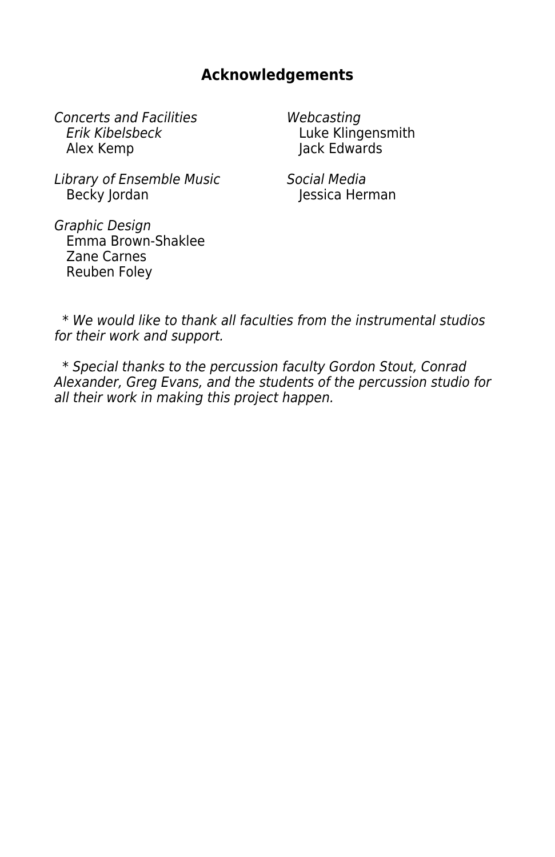# **Acknowledgements**

Concerts and Facilities **1998 Webcasting**<br>Erik Kibelsbeck 1998 Luke Kling Erik Kibelsbeck **Bulla** Luke Klingensmith<br>Alex Kemp

lack Edwards

Library of Ensemble Music<br>Becky Jordan (International Social Media

Jessica Herman

Graphic Design Emma Brown-Shaklee Zane Carnes Reuben Foley

 \* We would like to thank all faculties from the instrumental studios for their work and support.

 \* Special thanks to the percussion faculty Gordon Stout, Conrad Alexander, Greg Evans, and the students of the percussion studio for all their work in making this project happen.